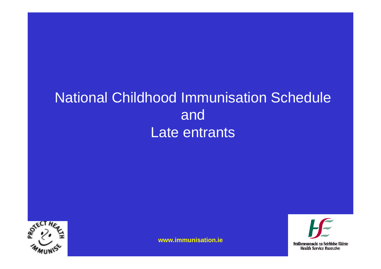# National Childhood Immunisation Schedule and Late entrants



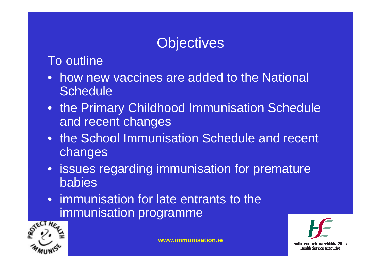# **Objectives**

#### To outline

- how new vaccines are added to the National **Schedule**
- the Primary Childhood Immunisation Schedule and recent changes
- the School Immunisation Schedule and recent changes
- issues regarding immunisation for premature babies
- immunisation for late entrants to the immunisation programme



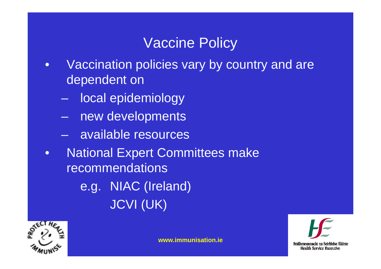### Vaccine Policy

- • Vaccination policies vary by country and are dependent on
	- local epidemiology
	- new developments
	- available resources
- $\bullet$  National Expert Committees make recommendations
	- e.g. NIAC (Ireland) JCVI (UK)



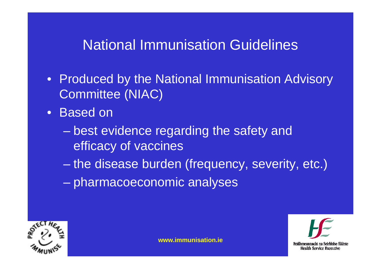#### National Immunisation Guidelines

- Produced by the National Immunisation Advisory Committee (NIAC)
- Based on
	- Charles Constitution best evidence regarding the safety and efficacy of vaccines
	- –the disease burden (frequency, severity, etc.)
	- pharmacoeconomic analyses

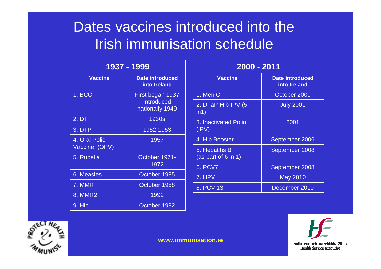### Dates vaccines introduced into the Irish immunisation schedule

| 1937 - 1999                    |                                                          |  |  |  |
|--------------------------------|----------------------------------------------------------|--|--|--|
| <b>Vaccine</b>                 | <b>Date introduced</b><br>into Ireland                   |  |  |  |
| 1. BCG                         | First began 1937<br><b>Introduced</b><br>nationally 1949 |  |  |  |
| 2. DT                          | 1930s                                                    |  |  |  |
| 3. DTP                         | 1952-1953                                                |  |  |  |
| 4. Oral Polio<br>Vaccine (OPV) | 1957                                                     |  |  |  |
| 5. Rubella                     | October 1971-<br>1972                                    |  |  |  |
| <b>6. Measles</b>              | October 1985                                             |  |  |  |
| 7. MMR                         | October 1988                                             |  |  |  |
| 8. MMR2                        | 1992                                                     |  |  |  |
| 9. Hib                         | October 1992                                             |  |  |  |

| 2000 - 2011                              |                                 |  |  |  |
|------------------------------------------|---------------------------------|--|--|--|
| <b>Vaccine</b>                           | Date introduced<br>into Ireland |  |  |  |
| 1. Men C                                 | October 2000                    |  |  |  |
| 2. DTaP-Hib-IPV (5<br>$\overline{in}$ 1) | <b>July 2001</b>                |  |  |  |
| 3. Inactivated Polio<br>(IPV)            | 2001                            |  |  |  |
| 4. Hib Booster                           | September 2006                  |  |  |  |
| 5. Hepatitis B<br>(as part of 6 in 1)    | September 2008                  |  |  |  |
| <b>6. PCV7</b>                           | September 2008                  |  |  |  |
| 7. HPV                                   | <b>May 2010</b>                 |  |  |  |
| 8. PCV 13                                | December 2010                   |  |  |  |



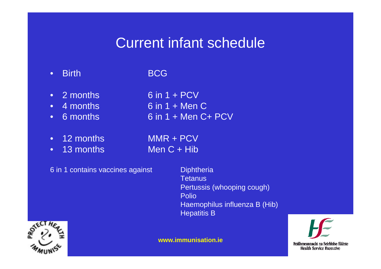#### Current infant schedule

- •Birth BCG
- $\bullet$  $2$  months 6 in  $1 + PCV$
- 4 months 4 months 6 in 1 + Men C
- •6 months 6 in 1 + Men C+ PCV
- •
- •

12 months MMR + PCV

13 months Men C + Hib

6 in 1 contains vaccines against **Diphtheria** 

**Tetanus** Pertussis (whooping cough) Polio Haemophilus influenza B (Hib) Hepatitis B

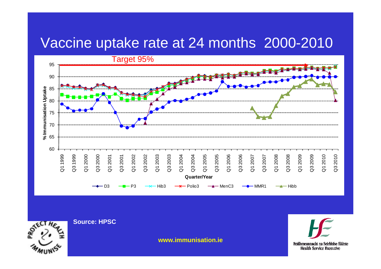#### Vaccine uptake rate at 24 months 2000-2010





**Source: HPSC**

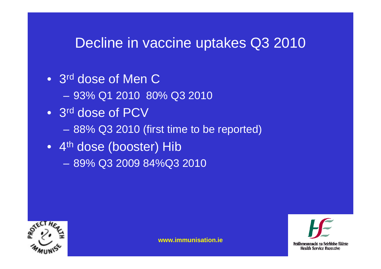- 3<sup>rd</sup> dose of Men C
	- 93% Q1 2010 80% Q3 2010
- 3<sup>rd</sup> dose of PCV
	- <del>Liberty College († 1917)</del> 88% Q3 2010 (first time to be reported)
- 4<sup>th</sup> dose (booster) Hib
	- 89% Q3 2009 84%Q3 2010





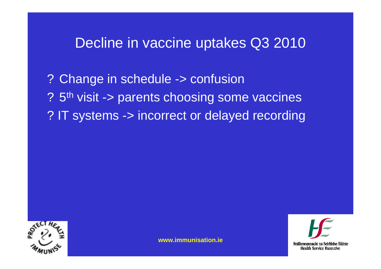? Change in schedule -> confusion ? 5th visit -> parents choosing some vaccines ? IT systems -> incorrect or delayed recording



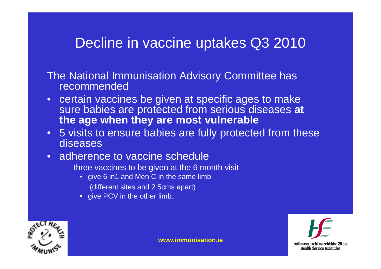The National Immunisation Advisory Committee has recommended

- certain vaccines be given at specific ages to make sure babies are protected from serious diseases **at the age when they are most vulnerable**
- 5 visits to ensure babies are fully protected from these diseases
- adherence to vaccine schedule
	- three vaccines to be given at the 6 month visit
		- give 6 in1 and Men C in the same limb
			- (different sites and 2.5cms apart)
		- give PCV in the other limb.





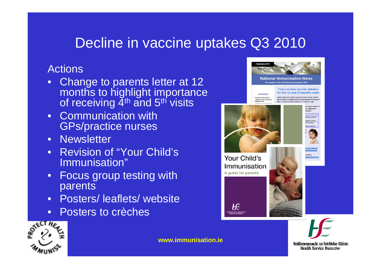#### Actions

- $\bullet$ Change to parents letter at 12 months to highlight importance of receiving 4<sup>th</sup> and 5<sup>th</sup> visits
- Communication with GPs/practice nurses
- Newsletter
- Revision of "Your Child's Immunisation"
- • Focus group testing with parents
- Posters/ leaflets/ website
- •Posters to crèches



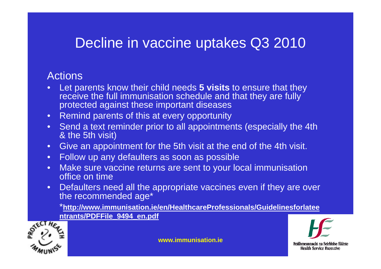#### Actions

- • Let parents know their child needs **5 visits** to ensure that they receive the full immunisation schedule and that they are fully protected against these important diseases
- Remind parents of this at every opportunity
- Send a text reminder prior to all appointments (especially the 4th & the 5th visit)
- Give an appointment for the 5th visit at the end of the 4th visit.
- Follow up any defaulters as soon as possible
- Make sure vaccine returns are sent to your local immunisation office on time
- •Defaulters need all the appropriate vaccines even if they are over the recommended age\*

\***http://www.immunisation.ie/en/HealthcareProfessionals/Guidelinesforlatee ntrants/PDFFile\_9494\_en.pdf**



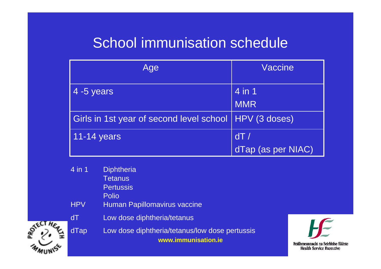### School immunisation schedule

| Age                                                      | Vaccine            |  |  |
|----------------------------------------------------------|--------------------|--|--|
| 4 -5 years                                               | 4 in 1             |  |  |
|                                                          | <b>MMR</b>         |  |  |
| Girls in 1st year of second level school   HPV (3 doses) |                    |  |  |
| 11-14 years                                              | dT/                |  |  |
|                                                          | dTap (as per NIAC) |  |  |

|                       | 4 in 1     | <b>Diphtheria</b>                                                     |
|-----------------------|------------|-----------------------------------------------------------------------|
|                       |            | <b>Tetanus</b>                                                        |
|                       |            | <b>Pertussis</b>                                                      |
|                       |            | <b>Polio</b>                                                          |
|                       | <b>HPV</b> | Human Papillomavirus vaccine                                          |
|                       | dT         | Low dose diphtheria/tetanus                                           |
| HER.<br><b>ROTECT</b> | dTap       | Low dose diphtheria/tetanus/low dose pertussis<br>www.immunisation.ie |
|                       |            |                                                                       |

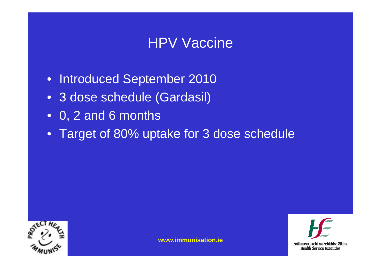#### HPV Vaccine

- Introduced September 2010
- 3 dose schedule (Gardasil)
- 0, 2 and 6 months
- Target of 80% uptake for 3 dose schedule



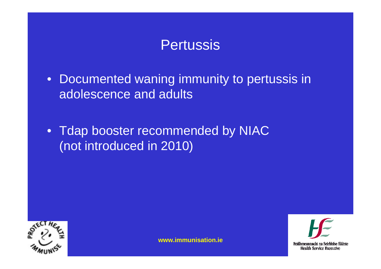#### Pertussis

- Documented waning immunity to pertussis in adolescence and adults
- Tdap booster recommended by NIAC (not introduced in 2010)



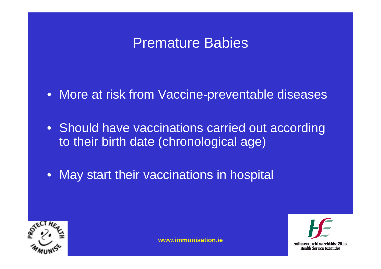#### Premature Babies

• More at risk from Vaccine-preventable diseases

• Should have vaccinations carried out according to their birth date (chronological age)

• May start their vaccinations in hospital



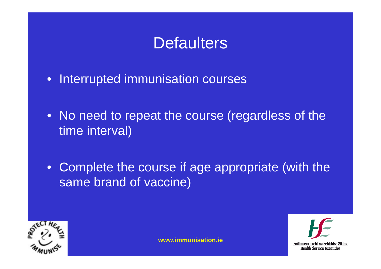# **Defaulters**

- $\bullet$ Interrupted immunisation courses
- No need to repeat the course (regardless of the time interval)
- Complete the course if age appropriate (with the same brand of vaccine)



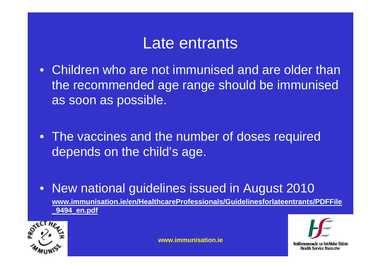- Children who are not immunised and are older than the recommended age range should be immunised as soon as possible.
- The vaccines and the number of doses required depends on the child's age.
- $\bullet$  New national guidelines issued in August 2010 **www.immunisation.ie/en/HealthcareProfessionals/Guidelinesforlateentrants/PDFFile \_9494\_en.pdf**



Feidhmeannacht na Seirbhíse Sláinte **Health Service Executive**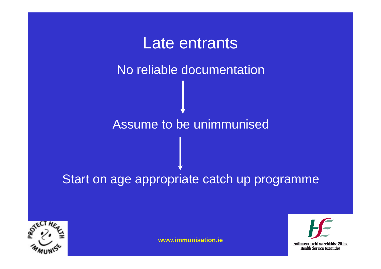# Late entrants No reliable documentation Assume to be unimmunised

#### Start on age appropriate catch up programme



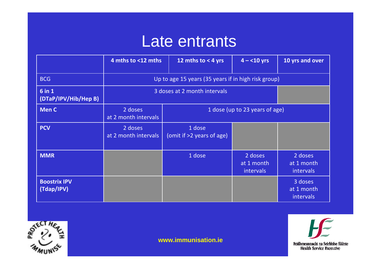|                                   | 4 mths to <12 mths                                  | 12 mths to $<$ 4 yrs                | $4 - 10$ yrs                              | 10 yrs and over                           |
|-----------------------------------|-----------------------------------------------------|-------------------------------------|-------------------------------------------|-------------------------------------------|
| <b>BCG</b>                        | Up to age 15 years (35 years if in high risk group) |                                     |                                           |                                           |
| 6 in 1<br>(DTaP/IPV/Hib/Hep B)    |                                                     | 3 doses at 2 month intervals        |                                           |                                           |
| <b>Men C</b>                      | 2 doses<br>at 2 month intervals                     | 1 dose (up to 23 years of age)      |                                           |                                           |
| <b>PCV</b>                        | 2 doses<br>at 2 month intervals                     | 1 dose<br>(omit if >2 years of age) |                                           |                                           |
| <b>MMR</b>                        |                                                     | 1 dose                              | 2 doses<br>at 1 month<br><i>intervals</i> | 2 doses<br>at 1 month<br>intervals        |
| <b>Boostrix IPV</b><br>(Tdap/IPV) |                                                     |                                     |                                           | 3 doses<br>at 1 month<br><i>intervals</i> |



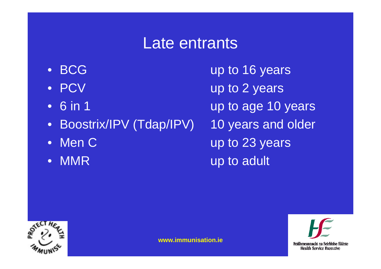- BCG
- PCV
- 6 in 1
- •Boostrix/IPV (Tdap/IPV) 10 years and older
- Men C
- $\bullet$

up to 16 years up to 2 years up to age 10 years up to 23 years MMR up to adult



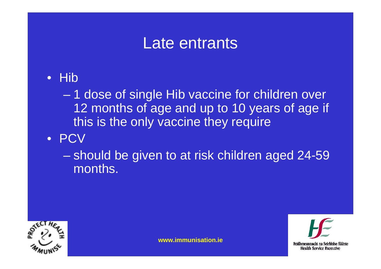• Hib

 1 dose of single Hib vaccine for children over 12 months of age and up to 10 years of age if this is the only vaccine they require

• PCV

 should be given to at risk children aged 24-59 months.



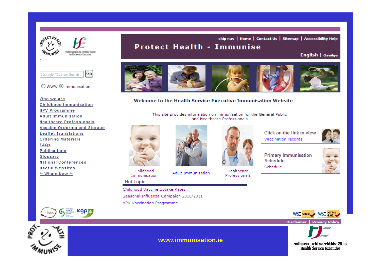

#### skip nav | Home | Contact Us | Sitemap | Accessibility Help

#### **Protect Health - Immunise**

English | Gaeilge



#### ○ www ⊙ immunisation

Who we are **Childhood Immunisation HPV Programme Adult Immunisation Healthcare Professionals** Vaccine Ordering and Storage **Leaflet Translations Ordering Materials FAQs** Publications Glossary **National Conferences Useful Websites** \*\* Whats New \*\*

**ICOP** 



#### Welcome to the Health Service Executive Immunisation Website

This site provides information on immunisation for the General Public and Healthcare Professionals



Childhood Immunisation

#### **Hot Topic**

Childhood Vaccine Uptake Rates Seasonal Influenza Campaign 2010/2011 HPV Vaccination Programme



Healthcare

Professionals

Vaccination records



**Primary Immunisation Schedule** Schedule







**www.immunisation.ie** 

**Adult Immunisation** 

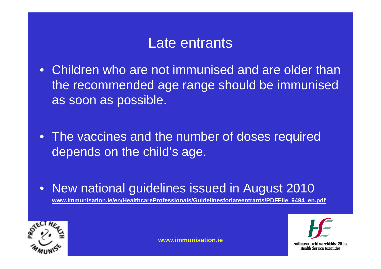- Children who are not immunised and are older than the recommended age range should be immunised as soon as possible.
- The vaccines and the number of doses required depends on the child's age.
- $\bullet$  New national guidelines issued in August 2010 **www.immunisation.ie/en/HealthcareProfessionals/Guidelinesforlateentrants/PDFFile\_9494\_en.pdf**